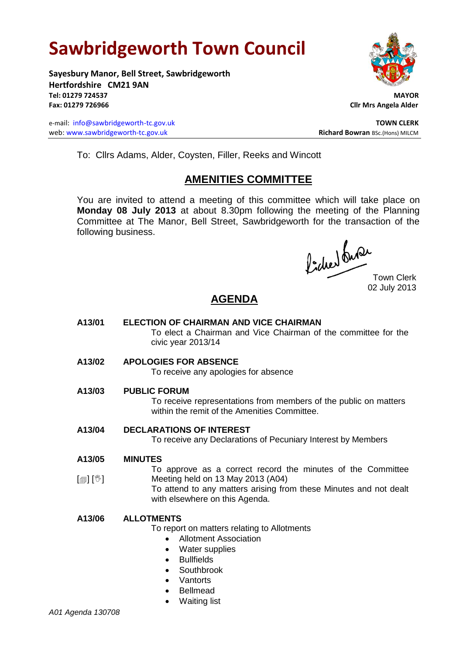# **Sawbridgeworth Town Council**

**Sayesbury Manor, Bell Street, Sawbridgeworth Hertfordshire CM21 9AN Tel: 01279 724537 MAYOR Fax: 01279 726966 Cllr Mrs Angela Alder**

e-mail: [info@sawbridgeworth-tc.gov.uk](mailto:info@sawbridgeworth-tc.gov.uk) **TOWN CLERK** web: www.sawbridgeworth-tc.gov.uk<br> **Richard Bowran** BSc.(Hons) MILCM



To: Cllrs Adams, Alder, Coysten, Filler, Reeks and Wincott

# **AMENITIES COMMITTEE**

You are invited to attend a meeting of this committee which will take place on **Monday 08 July 2013** at about 8.30pm following the meeting of the Planning Committee at The Manor, Bell Street, Sawbridgeworth for the transaction of the following business.

Picked Que

Town Clerk 02 July 2013

# **AGENDA**

- **A13/01 ELECTION OF CHAIRMAN AND VICE CHAIRMAN** To elect a Chairman and Vice Chairman of the committee for the civic year 2013/14
- **A13/02 APOLOGIES FOR ABSENCE**

To receive any apologies for absence

**A13/03 PUBLIC FORUM**

To receive representations from members of the public on matters within the remit of the Amenities Committee.

**A13/04 DECLARATIONS OF INTEREST**

To receive any Declarations of Pecuniary Interest by Members

**A13/05 MINUTES**

 $\lceil$ i $\lceil$ i $\rceil$ i $\vee$ To approve as a correct record the minutes of the Committee Meeting held on 13 May 2013 (A04)

To attend to any matters arising from these Minutes and not dealt with elsewhere on this Agenda.

## **A13/06 ALLOTMENTS**

To report on matters relating to Allotments

- Allotment Association
- Water supplies
- **•** Bullfields
- Southbrook
- Vantorts
- Bellmead
- Waiting list

*A01 Agenda 130708*